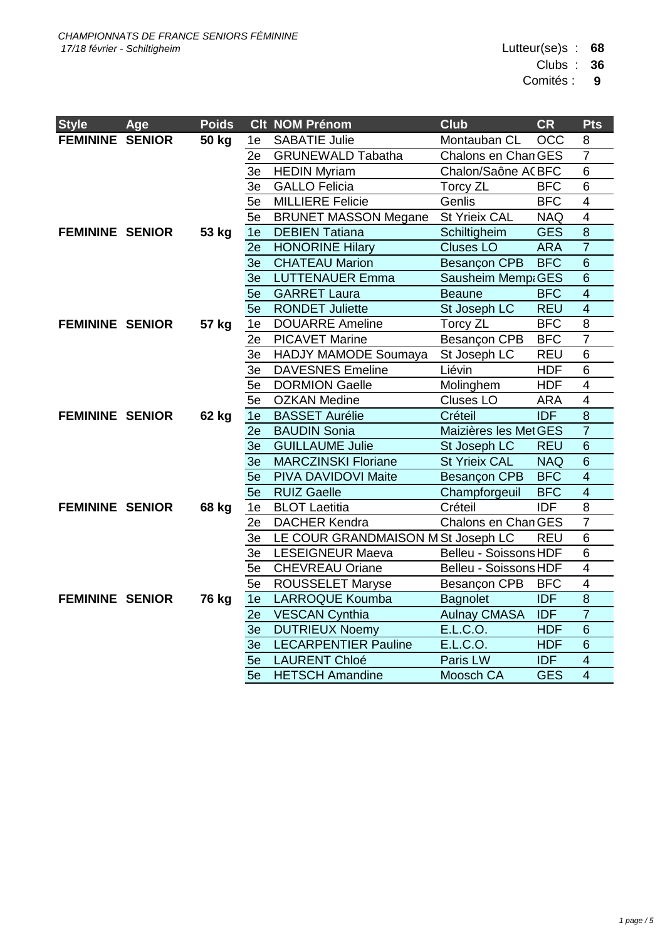Clubs : **36**

Comités : **9**

| <b>Style</b>           | Age | <b>Poids</b> |                | <b>Clt NOM Prénom</b>              | <b>Club</b>           | <b>CR</b>        | <b>Pts</b>              |
|------------------------|-----|--------------|----------------|------------------------------------|-----------------------|------------------|-------------------------|
| <b>FEMININE SENIOR</b> |     | 50 kg        | 1e             | <b>SABATIE Julie</b>               | Montauban CL          | <b>OCC</b>       | 8                       |
|                        |     |              | 2e             | <b>GRUNEWALD Tabatha</b>           | Chalons en Chan GES   |                  | $\overline{7}$          |
|                        |     |              | 3e             | <b>HEDIN Myriam</b>                | Chalon/Saône ACBFC    |                  | 6                       |
|                        |     |              | 3e             | <b>GALLO Felicia</b>               | <b>Torcy ZL</b>       | <b>BFC</b>       | $\overline{6}$          |
|                        |     |              | 5e             | <b>MILLIERE Felicie</b>            | Genlis                | <b>BFC</b>       | $\overline{4}$          |
|                        |     |              | 5e             | <b>BRUNET MASSON Megane</b>        | St Yrieix CAL         | <b>NAQ</b>       | $\overline{4}$          |
| <b>FEMININE SENIOR</b> |     | 53 kg        | 1e             | <b>DEBIEN Tatiana</b>              | Schiltigheim          | <b>GES</b>       | $\overline{8}$          |
|                        |     |              | 2e             | <b>HONORINE Hilary</b>             | <b>Cluses LO</b>      | <b>ARA</b>       | $\overline{7}$          |
|                        |     |              | 3 <sub>e</sub> | <b>CHATEAU Marion</b>              | Besançon CPB          | <b>BFC</b>       | $\overline{6}$          |
|                        |     |              | 3e             | <b>LUTTENAUER Emma</b>             | Sausheim Mempi GES    |                  | $\overline{6}$          |
|                        |     |              | 5e             | <b>GARRET Laura</b>                | <b>Beaune</b>         | <b>BFC</b>       | $\overline{4}$          |
|                        |     |              | 5e             | <b>RONDET Juliette</b>             | St Joseph LC          | <b>REU</b>       | $\overline{4}$          |
| <b>FEMININE SENIOR</b> |     | 57 kg        | 1e             | <b>DOUARRE Ameline</b>             | <b>Torcy ZL</b>       | <b>BFC</b>       | $\overline{8}$          |
|                        |     |              | 2e             | <b>PICAVET Marine</b>              | Besançon CPB          | <b>BFC</b>       | $\overline{7}$          |
|                        |     |              | 3e             | HADJY MAMODE Soumaya               | St Joseph LC          | <b>REU</b>       | 6                       |
|                        |     |              | 3e             | <b>DAVESNES Emeline</b>            | Liévin                | <b>HDF</b>       | 6                       |
|                        |     |              | 5e             | <b>DORMION Gaelle</b>              | Molinghem             | <b>HDF</b>       | $\overline{\mathbf{4}}$ |
|                        |     |              | 5e             | <b>OZKAN Medine</b>                | <b>Cluses LO</b>      | <b>ARA</b>       | $\overline{\mathbf{4}}$ |
| <b>FEMININE SENIOR</b> |     | 62 kg        | 1e             | <b>BASSET Aurélie</b>              | Créteil               | <b>IDF</b>       | $\overline{8}$          |
|                        |     |              | 2e             | <b>BAUDIN Sonia</b>                | Maizières les Met GES |                  | $\overline{7}$          |
|                        |     |              | 3 <sub>e</sub> | <b>GUILLAUME Julie</b>             | St Joseph LC          | <b>REU</b>       | $\overline{6}$          |
|                        |     |              | 3e             | <b>MARCZINSKI Floriane</b>         | <b>St Yrieix CAL</b>  | <b>NAQ</b>       | $\overline{6}$          |
|                        |     |              | 5e             | PIVA DAVIDOVI Maite                | Besançon CPB          | <b>BFC</b>       | $\overline{4}$          |
|                        |     |              | 5e             | <b>RUIZ Gaelle</b>                 | Champforgeuil         | <b>BFC</b>       | $\overline{4}$          |
| <b>FEMININE SENIOR</b> |     | 68 kg        | 1e             | <b>BLOT Laetitia</b>               | Créteil               | $\overline{IDF}$ | $\overline{8}$          |
|                        |     |              | 2e             | <b>DACHER Kendra</b>               | Chalons en Chan GES   |                  | $\overline{7}$          |
|                        |     |              | 3e             | LE COUR GRANDMAISON M St Joseph LC |                       | <b>REU</b>       | 6                       |
|                        |     |              | 3e             | <b>LESEIGNEUR Maeva</b>            | Belleu - Soissons HDF |                  | 6                       |
|                        |     |              | 5e             | <b>CHEVREAU Oriane</b>             | Belleu - Soissons HDF |                  | $\overline{\mathbf{4}}$ |
|                        |     |              | 5e             | ROUSSELET Maryse                   | Besançon CPB          | <b>BFC</b>       | $\overline{\mathbf{4}}$ |
| <b>FEMININE SENIOR</b> |     | <b>76 kg</b> | 1e             | <b>LARROQUE Koumba</b>             | <b>Bagnolet</b>       | <b>IDF</b>       | $\overline{8}$          |
|                        |     |              | 2e             | <b>VESCAN Cynthia</b>              | <b>Aulnay CMASA</b>   | <b>IDF</b>       | $\overline{7}$          |
|                        |     |              | 3 <sub>e</sub> | <b>DUTRIEUX Noemy</b>              | E.L.C.O.              | <b>HDF</b>       | $6\phantom{1}$          |
|                        |     |              | 3 <sub>e</sub> | <b>LECARPENTIER Pauline</b>        | E.L.C.O.              | <b>HDF</b>       | $6\phantom{1}$          |
|                        |     |              | 5e             | <b>LAURENT Chloé</b>               | Paris LW              | <b>IDF</b>       | $\overline{4}$          |
|                        |     |              | 5e             | <b>HETSCH Amandine</b>             | Moosch CA             | <b>GES</b>       | $\overline{4}$          |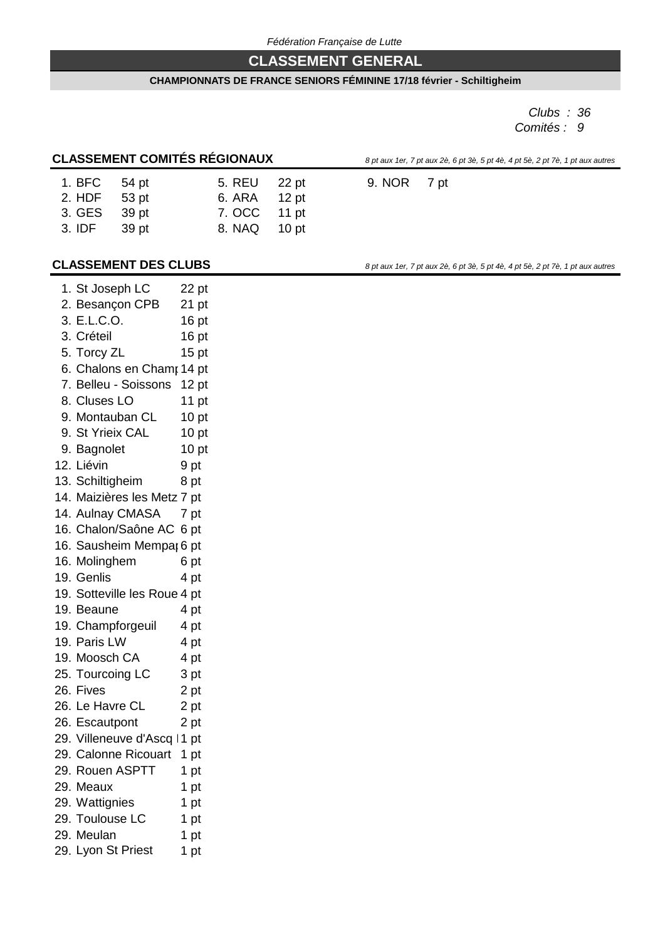# **CLASSEMENT GENERAL**

#### **CHAMPIONNATS DE FRANCE SENIORS FÉMININE 17/18 février - Schiltigheim**

*Clubs : 36 Comités : 9*

# **CLASSEMENT COMITÉS RÉGIONAUX** *8 pt aux 1er, 7 pt aux 2è, 6 pt 3è, 5 pt 4è, 4 pt 5è, 2 pt 7è, 1 pt aux autres*

| 5. REU 22 pt                |                      | 9. NOR 7 pt |  |
|-----------------------------|----------------------|-------------|--|
| $\sim$ $\sim$ $\sim$ $\sim$ | $\sim$ $\sim$ $\sim$ |             |  |

| 1. BFC | 54 pt | <b>5. REU</b> | 22 pt   |
|--------|-------|---------------|---------|
| 2. HDF | 53 pt | 6. ARA        | $12$ pt |
| 3. GES | 39 pt | 7. OCC        | 11 $pt$ |
| 3. IDF | 39 pt | 8. NAQ        | $10$ pt |

**CLASSEMENT DES CLUBS** *8 pt aux 1er, 7 pt aux 2è, 6 pt 3è, 5 pt 4è, 4 pt 5è, 2 pt 7è, 1 pt aux autres* 

| 1. St Joseph LC              | 22 pt            |
|------------------------------|------------------|
| 2. Besançon CPB              | 21 pt            |
| 3. E.L.C.O.                  | 16 <sub>pt</sub> |
| 3. Créteil                   | 16 pt            |
| 5. Torcy ZL                  | 15 <sub>pt</sub> |
| 6. Chalons en Chamr 14 pt    |                  |
| 7. Belleu - Soissons         | 12 <sub>pt</sub> |
| 8. Cluses LO                 | 11 $pt$          |
| 9. Montauban CL              | 10 <sub>pt</sub> |
| 9. St Yrieix CAL             | 10 <sub>pt</sub> |
| 9. Bagnolet                  | 10 <sub>pt</sub> |
| 12. Liévin                   | 9 pt             |
| 13. Schiltigheim             | 8 pt             |
| 14. Maizières les Metz 7 pt  |                  |
| 14. Aulnay CMASA             | 7 pt             |
| 16. Chalon/Saône AC 6 pt     |                  |
| 16. Sausheim Mempar 6 pt     |                  |
| 16. Molinghem                | 6 pt             |
| 19. Genlis                   | 4 pt             |
| 19. Sotteville les Roue 4 pt |                  |
| 19. Beaune                   | 4 pt             |
| 19. Champforgeuil            | 4 pt             |
| 19. Paris LW                 | 4 pt             |
| 19. Moosch CA                | 4 pt             |
| 25. Tourcoing LC             | 3 pt             |
| 26. Fives                    | 2 pt             |
| 26. Le Havre CL              | 2 pt             |
| 26. Escautpont               | 2 pt             |
| 29. Villeneuve d'Ascq   1 pt |                  |
| 29. Calonne Ricouart         | 1 pt             |
| 29. Rouen ASPTT              | 1 pt             |
| 29. Meaux                    | 1 pt             |
| 29. Wattignies               | 1 pt             |
| 29. Toulouse LC              | 1 pt             |
| 29. Meulan                   | 1 pt             |
| 29. Lyon St Priest           | 1 pt             |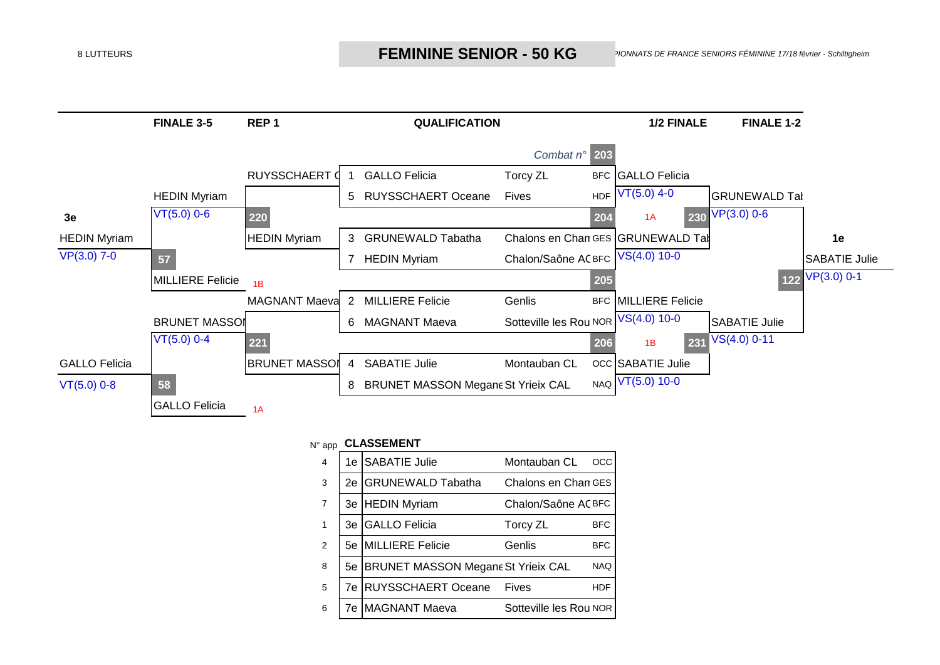

### N° app **CLASSEMENT**

| 4 | 1e | <b>SABATIE Julie</b>                      | Montauban CL           | OCC        |
|---|----|-------------------------------------------|------------------------|------------|
| 3 | 2е | <b>GRUNEWALD Tabatha</b>                  | Chalons en Chan GES    |            |
| 7 |    | 3e HEDIN Myriam                           | Chalon/Saône AC BFC    |            |
| 1 | 3e | <b>GALLO</b> Felicia                      | Torcy ZL               | <b>BFC</b> |
| 2 |    | 5e MILLIERE Felicie                       | Genlis                 | <b>BFC</b> |
| 8 | 5е | <b>BRUNET MASSON Megane St Yrieix CAL</b> |                        | <b>NAQ</b> |
| 5 | 7e | <b>RUYSSCHAERT Oceane</b>                 | Fives                  | <b>HDF</b> |
| 6 | 7e | MAGNANT Maeva                             | Sotteville les Rou NOR |            |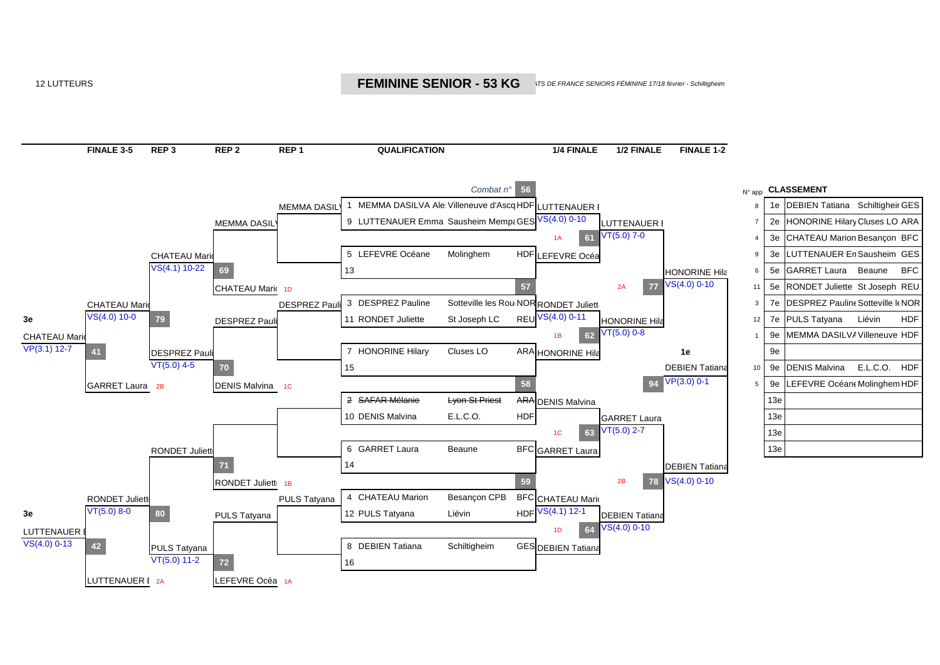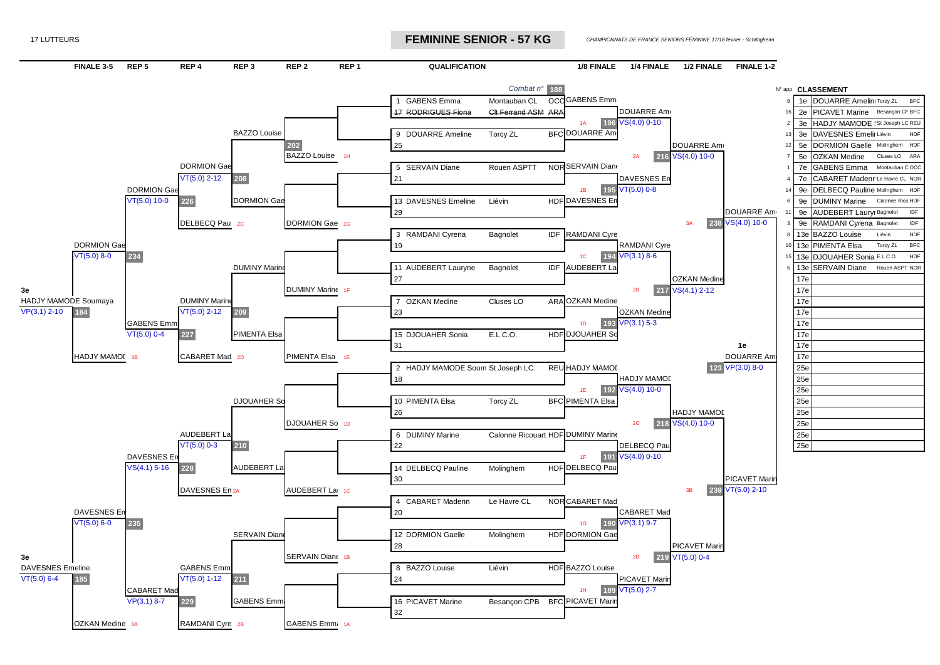17 LUTTEURS *CHAMPIONNATS DE FRANCE SENIORS FÉMININE* **FEMININE SENIOR - 57 KG**

**CHAMPIONNATS DE FRANCE SENIORS FÉMININE 17/18 février - Schiltigheim** 

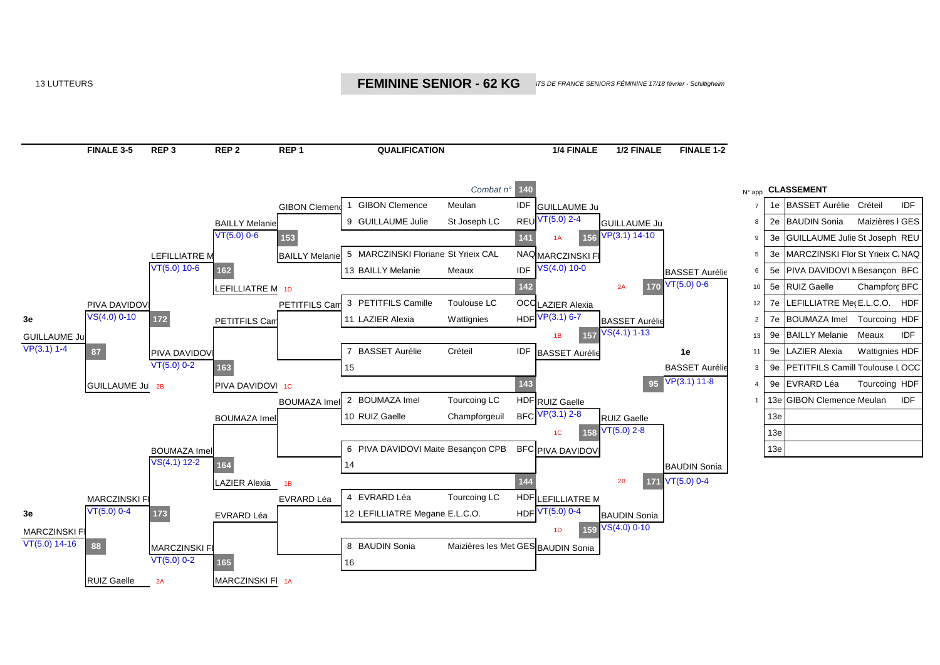#### 13 LUTTEURS **CHAMPION CONTROL CONTROL CONTROL CONTROL CONTROL CONTROL CONTROL CONTROL CONTROL CONTROL CONTROL CON**  *17/18 février - Schiltigheim*

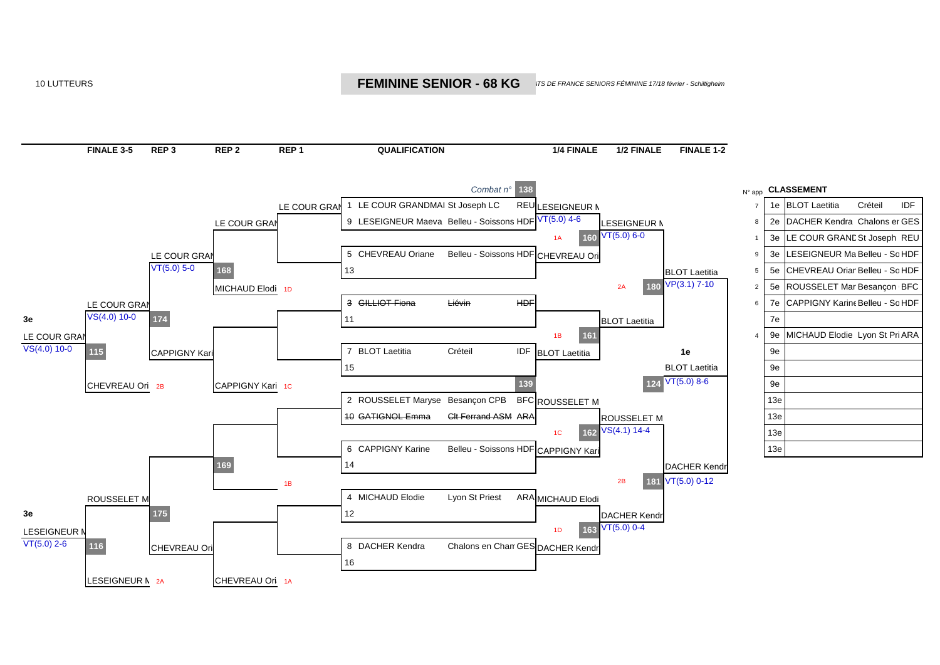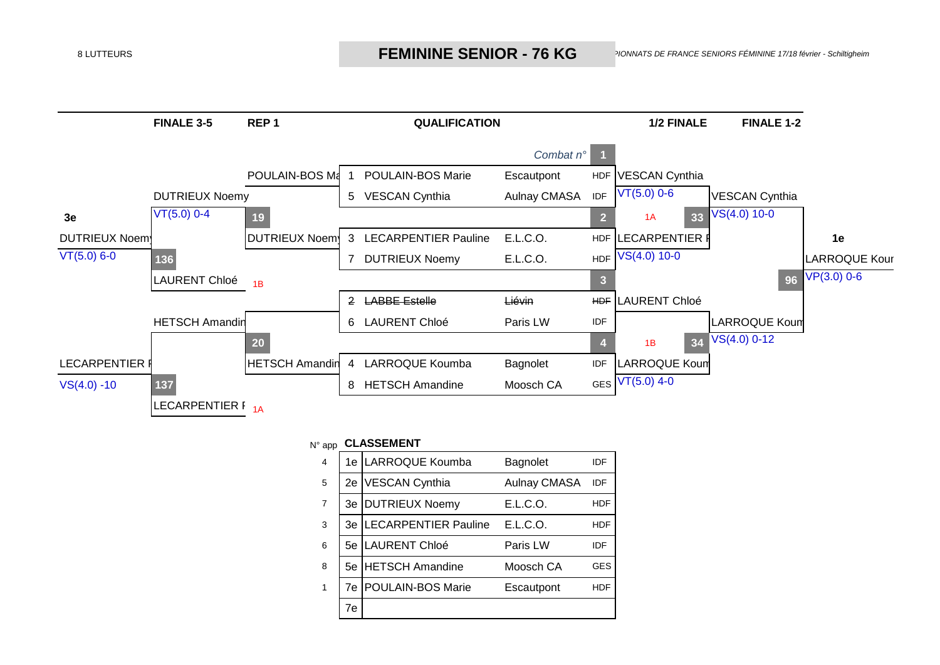

## N° app **CLASSEMENT**

| 4              |    | 1e LARROQUE Koumba          | <b>Bagnolet</b>     | IDE |
|----------------|----|-----------------------------|---------------------|-----|
| 5              | 2e | <b>VESCAN Cynthia</b>       | <b>Aulnay CMASA</b> | IDF |
| $\overline{7}$ | 3e | <b>DUTRIEUX Noemy</b>       | E.L.C.O.            | HDF |
| 3              | 3e | <b>LECARPENTIER Pauline</b> | E.L.C.O.            | HDF |
| 6              | 5е | LAURENT Chloé               | Paris LW            | IDE |
| 8              | 5е | <b>HETSCH Amandine</b>      | Moosch CA           | GES |
| 1              | 7e | POULAIN-BOS Marie           | Escautpont          | HDF |
|                | 7e |                             |                     |     |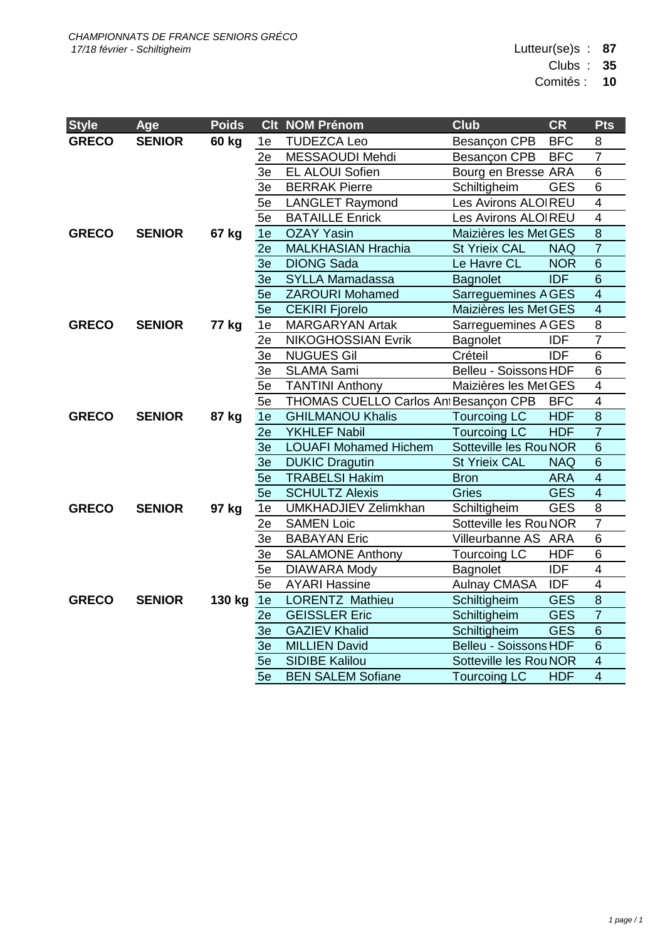Lutteur(se)s : **87**

Clubs : **35**

Comités : **10**

| <b>Style</b> | Age           | <b>Poids</b> |                | Clt NOM Prénom                       | <b>Club</b>                  | <b>CR</b>  | Pts                     |
|--------------|---------------|--------------|----------------|--------------------------------------|------------------------------|------------|-------------------------|
| <b>GRECO</b> | <b>SENIOR</b> | 60 kg        | 1e             | <b>TUDEZCA Leo</b>                   | Besançon CPB                 | <b>BFC</b> | 8                       |
|              |               |              | 2e             | MESSAOUDI Mehdi                      | Besançon CPB                 | <b>BFC</b> | $\overline{7}$          |
|              |               |              | 3e             | EL ALOUI Sofien                      | Bourg en Bresse ARA          |            | $\overline{6}$          |
|              |               |              | 3e             | <b>BERRAK Pierre</b>                 | Schiltigheim                 | <b>GES</b> | $6\phantom{1}$          |
|              |               |              | 5e             | <b>LANGLET Raymond</b>               | Les Avirons ALOIREU          |            | $\overline{4}$          |
|              |               |              | 5e             | <b>BATAILLE Enrick</b>               | Les Avirons ALOIREU          |            | $\overline{4}$          |
| <b>GRECO</b> | <b>SENIOR</b> | 67 kg        | 1e             | <b>OZAY Yasin</b>                    | Maizières les Met GES        |            | $\overline{8}$          |
|              |               |              | 2e             | <b>MALKHASIAN Hrachia</b>            | <b>St Yrieix CAL</b>         | <b>NAQ</b> | $\overline{7}$          |
|              |               |              | 3 <sub>e</sub> | <b>DIONG Sada</b>                    | Le Havre CL                  | <b>NOR</b> | $\overline{6}$          |
|              |               |              | 3 <sub>e</sub> | <b>SYLLA Mamadassa</b>               | <b>Bagnolet</b>              | <b>IDF</b> | $\overline{6}$          |
|              |               |              | 5e             | <b>ZAROURI Mohamed</b>               | <b>Sarreguemines AGES</b>    |            | $\overline{4}$          |
|              |               |              | 5e             | <b>CEKIRI Fjorelo</b>                | Maizières les Met GES        |            | $\overline{4}$          |
| <b>GRECO</b> | <b>SENIOR</b> | 77 kg        | 1e             | <b>MARGARYAN Artak</b>               | Sarreguemines AGES           |            | $\overline{8}$          |
|              |               |              | 2e             | <b>NIKOGHOSSIAN Evrik</b>            | Bagnolet                     | <b>IDF</b> | $\overline{7}$          |
|              |               |              | 3e             | <b>NUGUES Gil</b>                    | Créteil                      | <b>IDF</b> | $\overline{6}$          |
|              |               |              | 3e             | <b>SLAMA Sami</b>                    | Belleu - Soissons HDF        |            | $6\phantom{1}$          |
|              |               |              | 5e             | <b>TANTINI Anthony</b>               | Maizières les Met GES        |            | $\overline{4}$          |
|              |               |              | 5e             | THOMAS CUELLO Carlos AntBesançon CPB |                              | <b>BFC</b> | $\overline{\mathbf{4}}$ |
| <b>GRECO</b> | <b>SENIOR</b> | 87 kg        | 1e             | <b>GHILMANOU Khalis</b>              | <b>Tourcoing LC</b>          | <b>HDF</b> | $\overline{8}$          |
|              |               |              | 2e             | YKHLEF Nabil                         | <b>Tourcoing LC</b>          | <b>HDF</b> | $\overline{7}$          |
|              |               |              | 3 <sub>e</sub> | <b>LOUAFI Mohamed Hichem</b>         | Sotteville les Rou NOR       |            | $\overline{6}$          |
|              |               |              | 3 <sub>e</sub> | <b>DUKIC Dragutin</b>                | <b>St Yrieix CAL</b>         | <b>NAQ</b> | $\overline{6}$          |
|              |               |              | 5e             | <b>TRABELSI Hakim</b>                | <b>Bron</b>                  | <b>ARA</b> | $\overline{4}$          |
|              |               |              | 5e             | <b>SCHULTZ Alexis</b>                | Gries                        | <b>GES</b> | $\overline{4}$          |
| <b>GRECO</b> | <b>SENIOR</b> | 97 kg        | 1e             | <b>UMKHADJIEV Zelimkhan</b>          | Schiltigheim                 | <b>GES</b> | $\overline{8}$          |
|              |               |              | 2e             | <b>SAMEN Loic</b>                    | Sotteville les Rou NOR       |            | $\overline{7}$          |
|              |               |              | 3e             | <b>BABAYAN Eric</b>                  | Villeurbanne AS ARA          |            | $\overline{6}$          |
|              |               |              | 3e             | <b>SALAMONE Anthony</b>              | Tourcoing LC                 | <b>HDF</b> | $\,6$                   |
|              |               |              | 5e             | <b>DIAWARA Mody</b>                  | Bagnolet                     | <b>IDF</b> | $\overline{4}$          |
|              |               |              | 5e             | <b>AYARI Hassine</b>                 | <b>Aulnay CMASA</b>          | <b>IDF</b> | $\overline{4}$          |
| <b>GRECO</b> | <b>SENIOR</b> | 130 kg       | 1e             | <b>LORENTZ Mathieu</b>               | Schiltigheim                 | <b>GES</b> | $\overline{8}$          |
|              |               |              | 2e             | <b>GEISSLER Eric</b>                 | Schiltigheim                 | <b>GES</b> | $\overline{7}$          |
|              |               |              | 3e             | <b>GAZIEV Khalid</b>                 | Schiltigheim                 | <b>GES</b> | $\overline{6}$          |
|              |               |              | 3e             | <b>MILLIEN David</b>                 | <b>Belleu - Soissons HDF</b> |            | $\overline{6}$          |
|              |               |              | 5e             | <b>SIDIBE</b> Kalilou                | Sotteville les Rou NOR       |            | $\overline{4}$          |
|              |               |              | 5e             | <b>BEN SALEM Sofiane</b>             | <b>Tourcoing LC</b>          | <b>HDF</b> | $\overline{4}$          |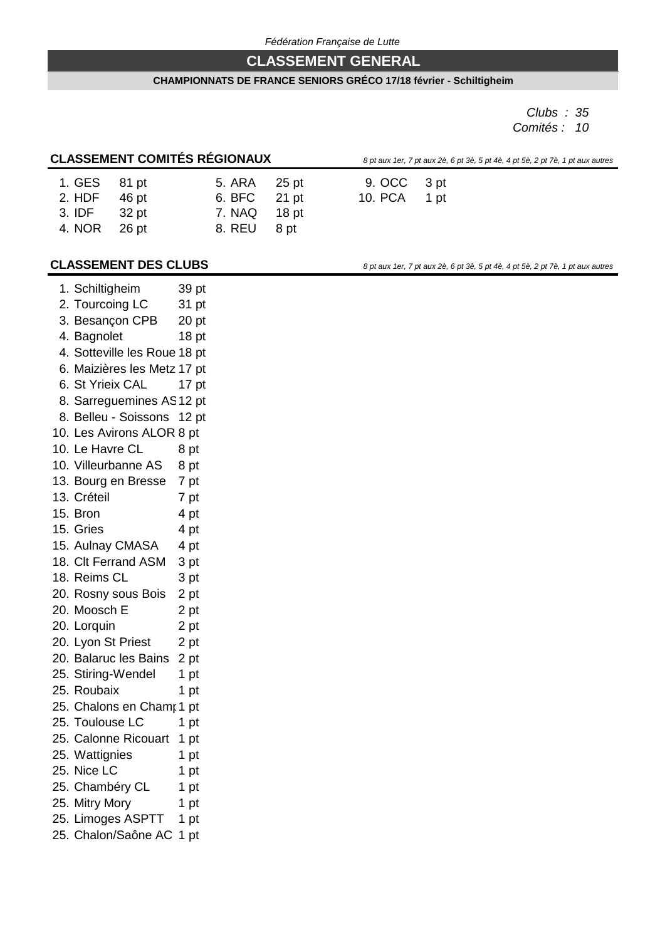# **CLASSEMENT GENERAL**

#### **CHAMPIONNATS DE FRANCE SENIORS GRÉCO 17/18 février - Schiltigheim**

*Clubs : 35 Comités : 10*

# **CLASSEMENT COMITÉS RÉGIONAUX** *8 pt aux 1er, 7 pt aux 2è, 6 pt 3è, 5 pt 4è, 4 pt 5è, 2 pt 7è, 1 pt aux autres*

|  | x 1er, 7 pt aux 2è, 6 pt 3è, 5 pt 4è, 4 pt 5è, 2 pt 7è, 1 pt aux a |  |  |  |  |  |
|--|--------------------------------------------------------------------|--|--|--|--|--|
|  |                                                                    |  |  |  |  |  |

| 25 pt |
|-------|
| 21 pt |
| 18 pt |
| 8 pt  |
|       |

9. OCC 3 pt 10. PCA 1 pt

## **CLASSEMENT DES CLUBS** *8 pt aux 1er, 7 pt aux 2è, 6 pt 3è, 5 pt 4è, 4 pt 5è, 2 pt 7è, 1 pt aux autres*

| 1. Schiltigheim              |             |    | 39 pt            |
|------------------------------|-------------|----|------------------|
| 2. Tourcoing LC              |             |    | 31 pt            |
| 3. Besançon CPB              |             |    | 20 <sub>pt</sub> |
| 4. Bagnolet                  |             |    | 18 pt            |
| 4. Sotteville les Roue 18 pt |             |    |                  |
| 6. Maizières les Metz 17 pt  |             |    |                  |
| 6. St Yrieix CAL             |             |    | 17 pt            |
| 8. Sarreguemines AS12 pt     |             |    |                  |
| 8. Belleu - Soissons 12 pt   |             |    |                  |
| 10. Les Avirons ALOR 8 pt    |             |    |                  |
| 10. Le Havre CL              | 8 pt        |    |                  |
| 10. Villeurbanne AS          | 8 pt        |    |                  |
| 13. Bourg en Bresse          | 7 pt        |    |                  |
| 13. Créteil                  | 7 pt        |    |                  |
| 15. Bron                     | 4 pt        |    |                  |
| 15. Gries                    | 4 pt        |    |                  |
| 15. Aulnay CMASA             | 4 pt        |    |                  |
| 18. Clt Ferrand ASM          | 3 pt        |    |                  |
| 18. Reims CL                 | 3 pt        |    |                  |
| 20. Rosny sous Bois          | 2 pt        |    |                  |
| 20. Moosch E                 | 2 pt        |    |                  |
| 20. Lorquin                  | 2 pt        |    |                  |
| 20. Lyon St Priest           | 2 pt        |    |                  |
| 20. Balaruc les Bains        | 2 pt        |    |                  |
| 25. Stiring-Wendel           | 1 pt        |    |                  |
| 25. Roubaix                  | 1 pt        |    |                  |
| 25. Chalons en Chamr 1 pt    |             |    |                  |
| 25. Toulouse LC              | 1           | pt |                  |
| 25. Calonne Ricouart         | $\mathbf 1$ | pt |                  |
| 25. Wattignies               | 1           | pt |                  |
| 25. Nice LC                  | 1 pt        |    |                  |
| 25. Chambéry CL              | 1 pt        |    |                  |
| 25. Mitry Mory               | 1 pt        |    |                  |
| 25. Limoges ASPTT            | 1 pt        |    |                  |
| 25. Chalon/Saône AC          | 1 pt        |    |                  |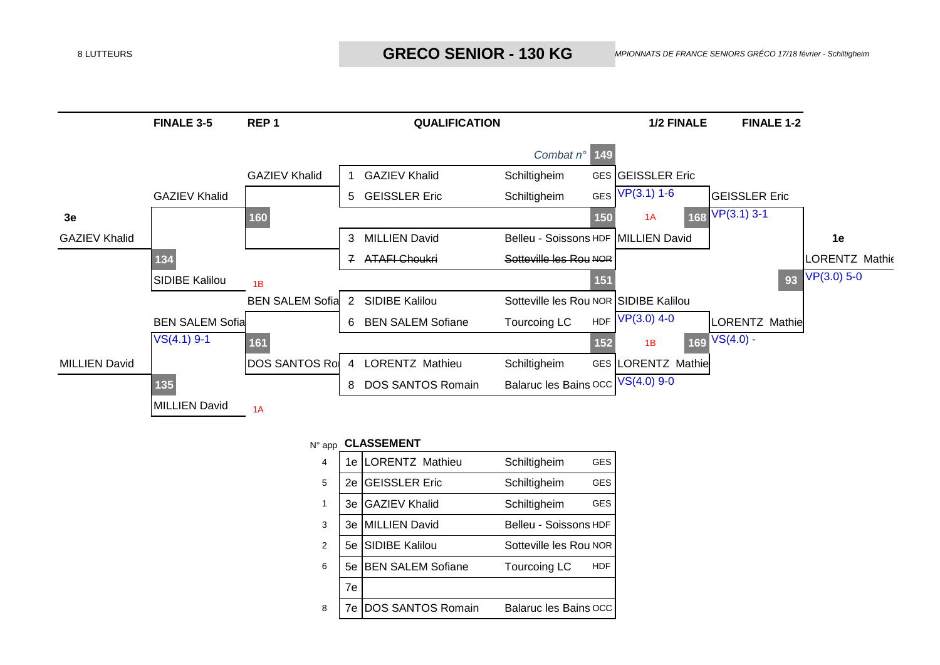

### N° app **CLASSEMENT**

| 4 |    | 1e LORENTZ Mathieu       | Schiltigheim                 | <b>GES</b> |
|---|----|--------------------------|------------------------------|------------|
| 5 | 2e | <b>GEISSLER Eric</b>     | Schiltigheim                 | <b>GES</b> |
| 1 | 3e | <b>GAZIEV Khalid</b>     | Schiltigheim                 | <b>GES</b> |
| 3 | 3e | <b>MILLIEN David</b>     | Belleu - Soissons HDF        |            |
| 2 | 5е | <b>SIDIBE Kalilou</b>    | Sotteville les Rou NOR       |            |
| 6 | 5е | <b>BEN SALEM Sofiane</b> | <b>Tourcoing LC</b>          | <b>HDF</b> |
|   | 7e |                          |                              |            |
| 8 | 7e | <b>DOS SANTOS Romain</b> | <b>Balaruc les Bains OCC</b> |            |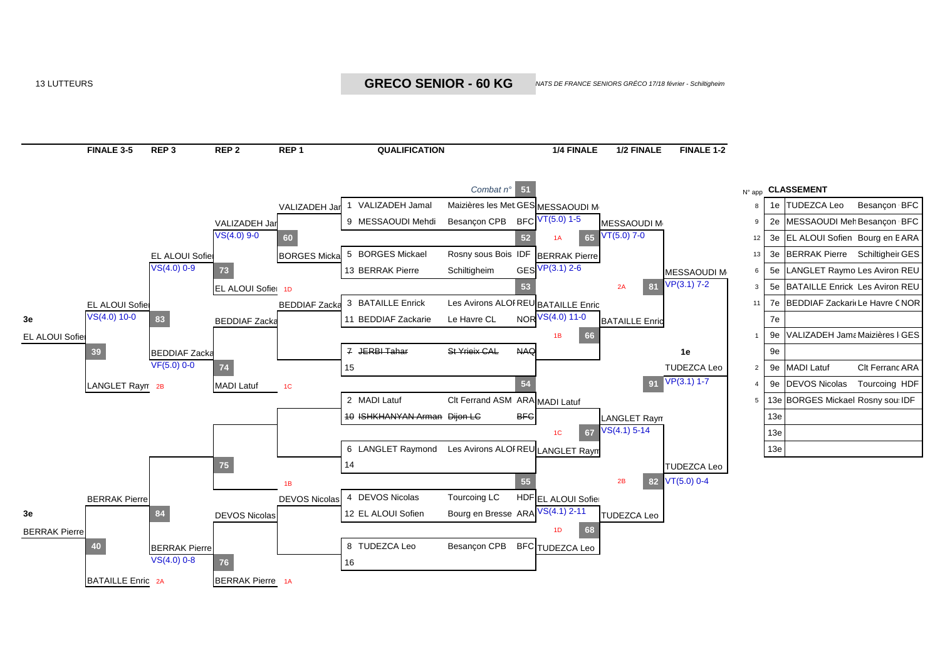13 LUTTEURS **CHAMPION CONTRECTE EN CONTRECTE EN CONTRECTE DE FRANCE SENIORS GRÉCO 1** 

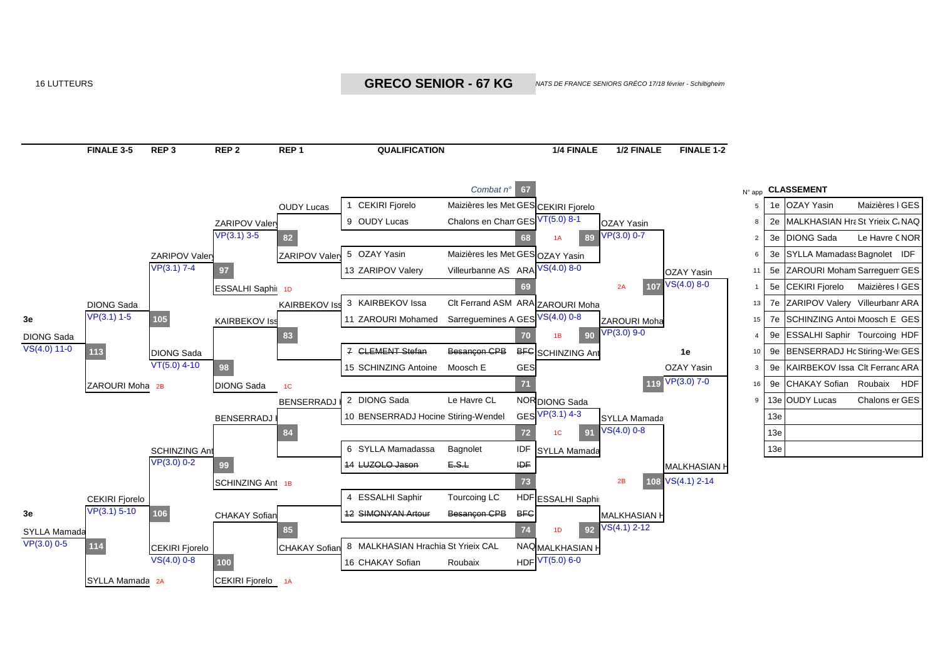16 LUTTEURS **CHAMPION CONTRECTE EN CONTRECTE EN CONTRECTE DE FRANCE SENIORS GRÉCO 1** 



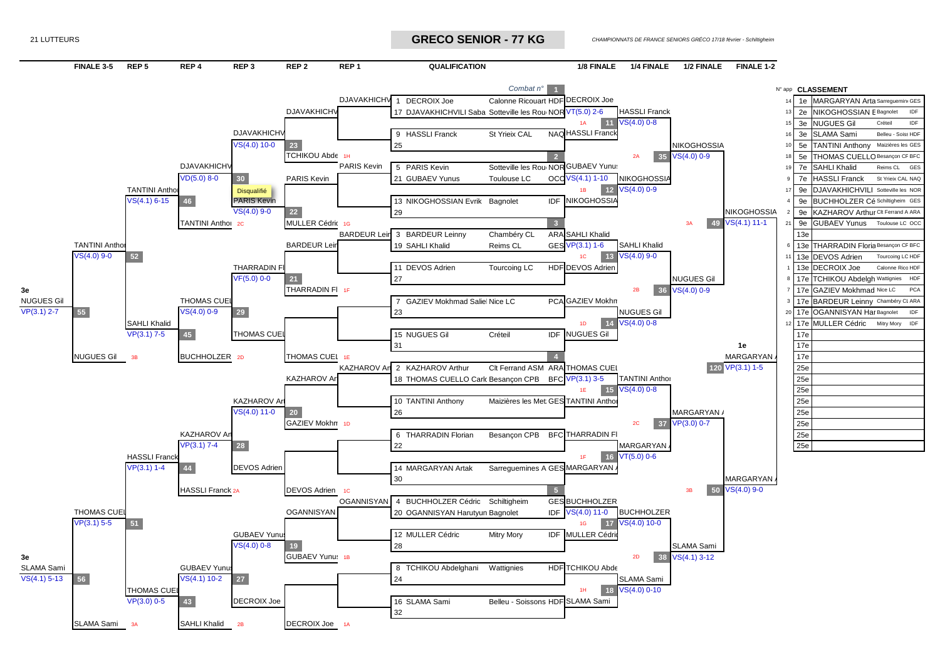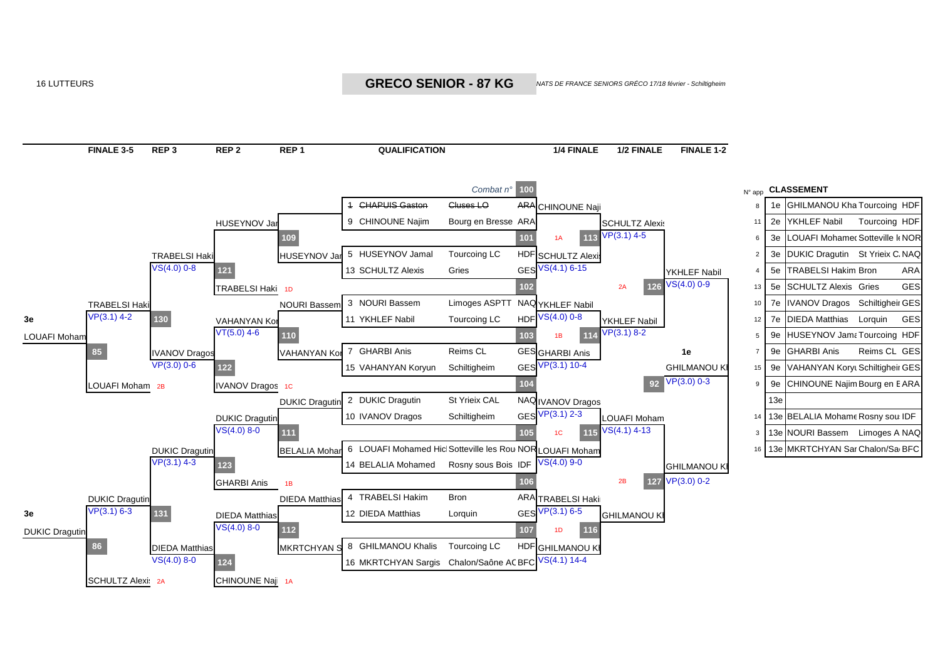16 LUTTEURS **CHAMPION CONTRECTE EN CONTRECTE EN CONTRECTE DE TRANCE SENIORS GRÉCO 1** 

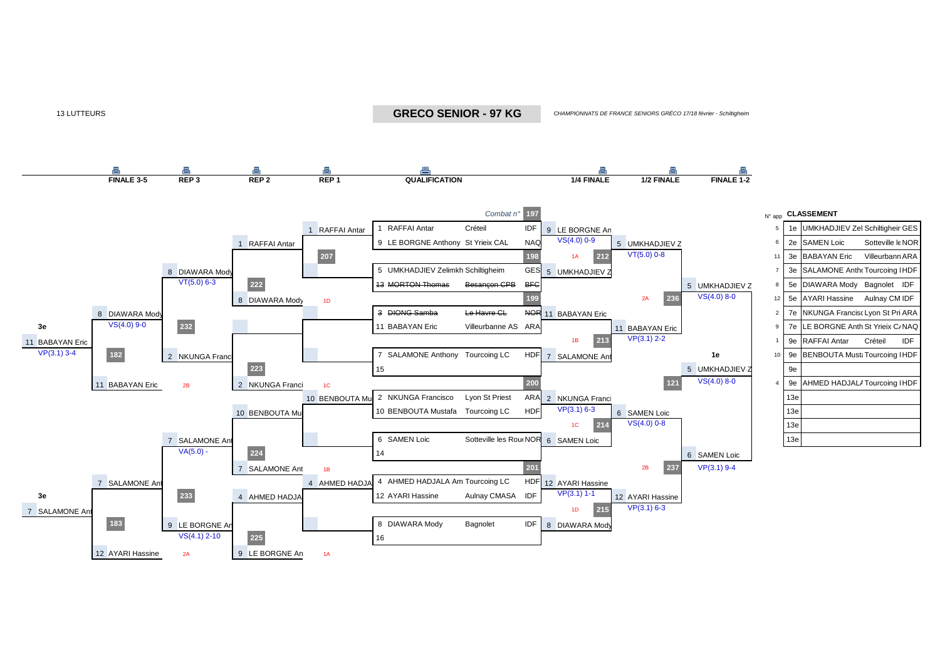13 LUTTEURS *CHAMPIONNATS DE FRANCE SENIORS GRÉCO* **GRECO SENIOR - 97 KG**

**CHAMPIONNATS DE FRANCE SENIORS GRÉCO 17/18 février - Schiltigheim** 



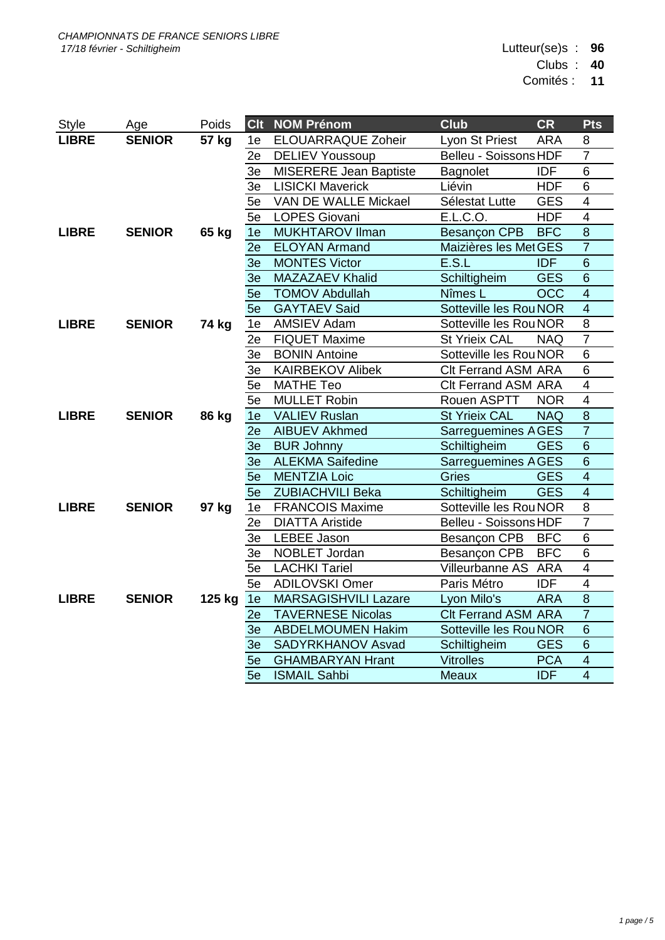Lutteur(se)s : **96**

Clubs : **40**

Comités : **11**

| Style        | Age           | Poids        | <b>Clt</b>     | <b>NOM Prénom</b>           | <b>Club</b>                  | <b>CR</b>        | <b>Pts</b>              |
|--------------|---------------|--------------|----------------|-----------------------------|------------------------------|------------------|-------------------------|
| <b>LIBRE</b> | <b>SENIOR</b> | 57 kg        | 1e             | ELOUARRAQUE Zoheir          | Lyon St Priest               | <b>ARA</b>       | 8                       |
|              |               |              | 2e             | <b>DELIEV Youssoup</b>      | <b>Belleu - Soissons HDF</b> |                  | $\overline{7}$          |
|              |               |              | 3e             | MISERERE Jean Baptiste      | Bagnolet                     | <b>IDF</b>       | 6                       |
|              |               |              | 3e             | <b>LISICKI Maverick</b>     | Liévin                       | <b>HDF</b>       | 6                       |
|              |               |              | 5e             | <b>VAN DE WALLE Mickael</b> | Sélestat Lutte               | <b>GES</b>       | $\overline{\mathbf{4}}$ |
|              |               |              | 5e             | LOPES Giovani               | E.L.C.O.                     | <b>HDF</b>       | $\overline{4}$          |
| <b>LIBRE</b> | <b>SENIOR</b> | 65 kg        | 1e             | MUKHTAROV Ilman             | Besançon CPB                 | <b>BFC</b>       | $\overline{8}$          |
|              |               |              | 2e             | <b>ELOYAN Armand</b>        | Maizières les Met GES        |                  | $\overline{7}$          |
|              |               |              | 3e             | <b>MONTES Victor</b>        | E.S.L                        | <b>IDF</b>       | $6\phantom{1}$          |
|              |               |              | 3 <sub>e</sub> | <b>MAZAZAEV Khalid</b>      | Schiltigheim                 | <b>GES</b>       | $6\phantom{1}$          |
|              |               |              | 5e             | <b>TOMOV Abdullah</b>       | Nîmes L                      | $\overline{OCC}$ | $\overline{4}$          |
|              |               |              | 5e             | <b>GAYTAEV Said</b>         | Sotteville les Rou NOR       |                  | $\overline{4}$          |
| <b>LIBRE</b> | <b>SENIOR</b> | 74 kg        | 1e             | AMSIEV Adam                 | Sotteville les Rou NOR       |                  | $\overline{8}$          |
|              |               |              | 2e             | <b>FIQUET Maxime</b>        | <b>St Yrieix CAL</b>         | <b>NAQ</b>       | $\overline{7}$          |
|              |               |              | 3e             | <b>BONIN Antoine</b>        | Sotteville les Rou NOR       |                  | 6                       |
|              |               |              | 3e             | <b>KAIRBEKOV Alibek</b>     | <b>Clt Ferrand ASM ARA</b>   |                  | $\overline{6}$          |
|              |               |              | 5e             | <b>MATHE Teo</b>            | <b>Clt Ferrand ASM ARA</b>   |                  | $\overline{4}$          |
|              |               |              | 5e             | <b>MULLET Robin</b>         | Rouen ASPTT                  | <b>NOR</b>       | $\overline{\mathbf{4}}$ |
| <b>LIBRE</b> | <b>SENIOR</b> | <b>86 kg</b> | 1e             | <b>VALIEV Ruslan</b>        | <b>St Yrieix CAL</b>         | <b>NAQ</b>       | $\overline{8}$          |
|              |               |              | 2e             | <b>AIBUEV Akhmed</b>        | Sarreguemines AGES           |                  | $\overline{7}$          |
|              |               |              |                | 3e BUR Johnny               | Schiltigheim                 | <b>GES</b>       | $6\phantom{1}$          |
|              |               |              | 3e             | <b>ALEKMA Saifedine</b>     | Sarreguemines AGES           |                  | $\overline{6}$          |
|              |               |              | 5e             | <b>MENTZIA Loic</b>         | <b>Gries</b>                 | <b>GES</b>       | $\overline{4}$          |
|              |               |              | 5e             | <b>ZUBIACHVILI Beka</b>     | Schiltigheim                 | <b>GES</b>       | $\overline{4}$          |
| <b>LIBRE</b> | <b>SENIOR</b> | 97 kg        | 1e             | <b>FRANCOIS Maxime</b>      | Sotteville les Rou NOR       |                  | $\overline{8}$          |
|              |               |              | 2e             | <b>DIATTA Aristide</b>      | Belleu - Soissons HDF        |                  | $\overline{7}$          |
|              |               |              | 3e             | <b>LEBEE Jason</b>          | Besançon CPB                 | <b>BFC</b>       | 6                       |
|              |               |              | 3e             | NOBLET Jordan               | Besançon CPB                 | <b>BFC</b>       | $\overline{6}$          |
|              |               |              | 5e             | <b>LACHKI Tariel</b>        | Villeurbanne AS ARA          |                  | $\overline{\mathbf{4}}$ |
|              |               |              | 5e             | <b>ADILOVSKI Omer</b>       | Paris Métro                  | IDF              | $\overline{4}$          |
| <b>LIBRE</b> | <b>SENIOR</b> | 125 kg       | 1e             | <b>MARSAGISHVILI Lazare</b> | Lyon Milo's                  | <b>ARA</b>       | $\overline{8}$          |
|              |               |              | 2e             | <b>TAVERNESE Nicolas</b>    | Clt Ferrand ASM ARA          |                  | $\overline{7}$          |
|              |               |              | 3 <sub>e</sub> | <b>ABDELMOUMEN Hakim</b>    | Sotteville les Rou NOR       |                  | $6\phantom{1}$          |
|              |               |              |                | 3e SADYRKHANOV Asvad        | Schiltigheim                 | <b>GES</b>       | $6\phantom{1}$          |
|              |               |              | 5e             | <b>GHAMBARYAN Hrant</b>     | <b>Vitrolles</b>             | <b>PCA</b>       | $\overline{4}$          |
|              |               |              | 5e             | <b>ISMAIL Sahbi</b>         | Meaux                        | <b>IDF</b>       | $\overline{4}$          |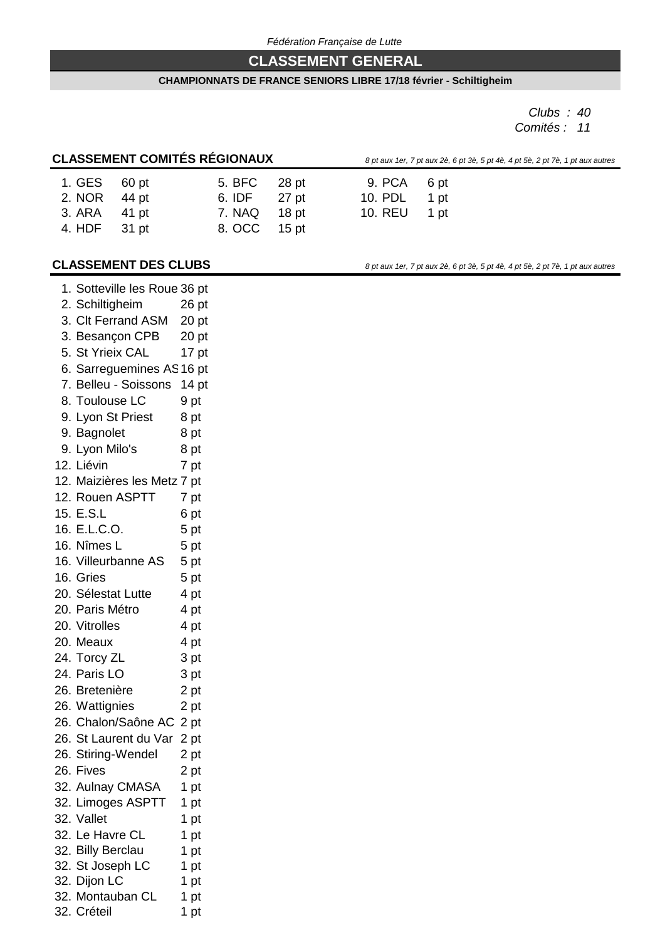## **CLASSEMENT GENERAL**

#### **CHAMPIONNATS DE FRANCE SENIORS LIBRE 17/18 février - Schiltigheim**

9. PCA 6 pt 10. PDL 1 pt 10. REU 1 pt

*Clubs : 40 Comités : 11*

# **CLASSEMENT COMITÉS RÉGIONAUX** *8 pt aux 1er, 7 pt aux 2è, 6 pt 3è, 5 pt 4è, 4 pt 5è, 2 pt 7è, 1 pt aux autres*

| 1. GES 60 pt<br>2. NOR | 44 pt | 5. BFC<br>6. IDF | 28 pt<br>$27$ pt |
|------------------------|-------|------------------|------------------|
| 3. ARA                 | 41 pt | 7. NAQ           | 18 pt            |
| 4. HDF                 | 31 pt | 8. OCC           | 15 pt            |

**CLASSEMENT DES CLUBS** *8 pt aux 1er, 7 pt aux 2è, 6 pt 3è, 5 pt 4è, 4 pt 5è, 2 pt 7è, 1 pt aux autres* 

| 1. Sotteville les Roue 36 pt |                  |
|------------------------------|------------------|
| 2. Schiltigheim              | 26 pt            |
| 3. Clt Ferrand ASM           | 20 <sub>pt</sub> |
| 3. Besançon CPB              | 20 <sub>pt</sub> |
| 5. St Yrieix CAL             | 17 pt            |
| 6. Sarreguemines AS16 pt     |                  |
| 7. Belleu - Soissons         | 14 <sub>pt</sub> |
| 8. Toulouse LC               | 9 pt             |
| 9. Lyon St Priest            | 8 pt             |
| 9. Bagnolet                  | 8 pt             |
| 9. Lyon Milo's               | 8 pt             |
| 12. Liévin                   | 7 pt             |
| 12. Maizières les Metz 7 pt  |                  |
| 12. Rouen ASPTT              | 7 pt             |
| 15. E.S.L                    | 6 pt             |
| 16. E.L.C.O.                 | 5 pt             |
| 16. Nîmes L                  | 5 pt             |
| 16. Villeurbanne AS          | 5 pt             |
| 16. Gries                    | 5 pt             |
| 20. Sélestat Lutte           | 4 pt             |
| 20. Paris Métro              | 4 pt             |
| 20. Vitrolles                | 4 pt             |
| 20. Meaux                    | 4 pt             |
| 24. Torcy ZL                 | 3 pt             |
| 24. Paris LO                 | 3 pt             |
| 26. Bretenière               | 2 pt             |
| 26. Wattignies               | 2 pt             |
| 26. Chalon/Saône AC          | 2 pt             |
| 26. St Laurent du Var        | 2 pt             |
| 26. Stiring-Wendel           | 2 pt             |
| 26. Fives                    | 2 pt             |
| 32. Aulnay CMASA             | 1 pt             |
| 32. Limoges ASPTT            | 1 pt             |
| 32. Vallet                   | 1 pt             |
| 32. Le Havre CL              | 1 pt             |
| 32. Billy Berclau            | 1 pt             |
| 32. St Joseph LC             | 1 pt             |
| 32. Dijon LC                 | 1 pt             |
| 32. Montauban CL             | 1 pt             |
| 32. Créteil                  | 1 pt             |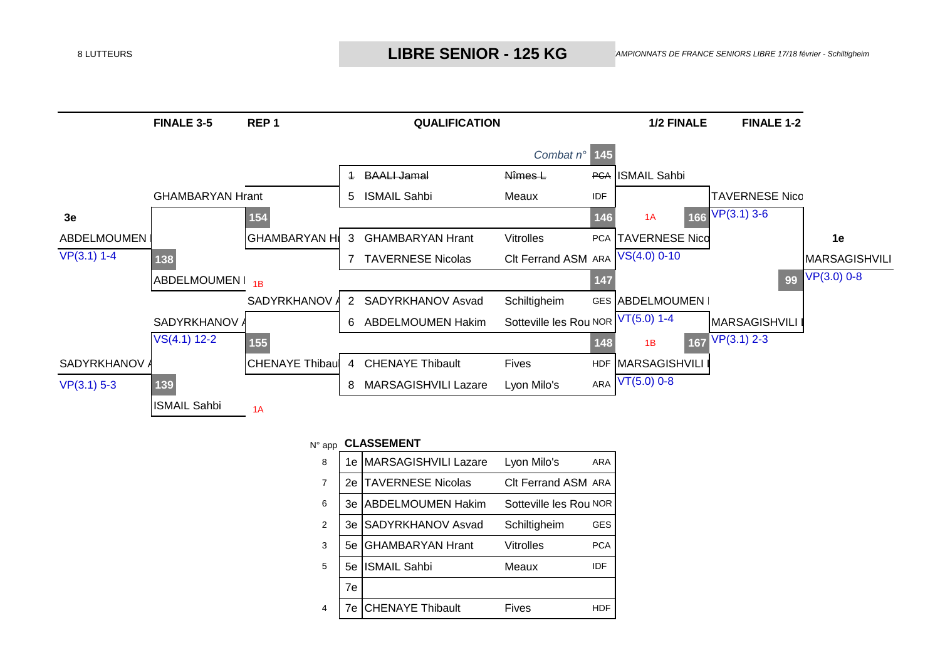# 8 LUTTEURS **CHAMPION CHANGE SENIOR - 125 KG** AMPIONNATS DE FRANCE SENIORS LIBRE 1



#### N° app **CLASSEMENT**

| 8 | 1e  | <b>MARSAGISHVILI Lazare</b> | Lyon Milo's            | ARA        |
|---|-----|-----------------------------|------------------------|------------|
| 7 | 2e. | <b>ITAVERNESE Nicolas</b>   | CIt Ferrand ASM ARA    |            |
| 6 | 3e  | <b>ABDELMOUMEN Hakim</b>    | Sotteville les Rou NOR |            |
| 2 | 3e  | SADYRKHANOV Asvad           | Schiltigheim           | <b>GES</b> |
| 3 | 5е  | <b>GHAMBARYAN Hrant</b>     | Vitrolles              | <b>PCA</b> |
| 5 | 5е  | <b>ISMAIL Sahbi</b>         | Meaux                  | IDF        |
|   | 7e  |                             |                        |            |
| 4 | 7e  | <b>CHENAYE Thibault</b>     | Fives                  | <b>HDF</b> |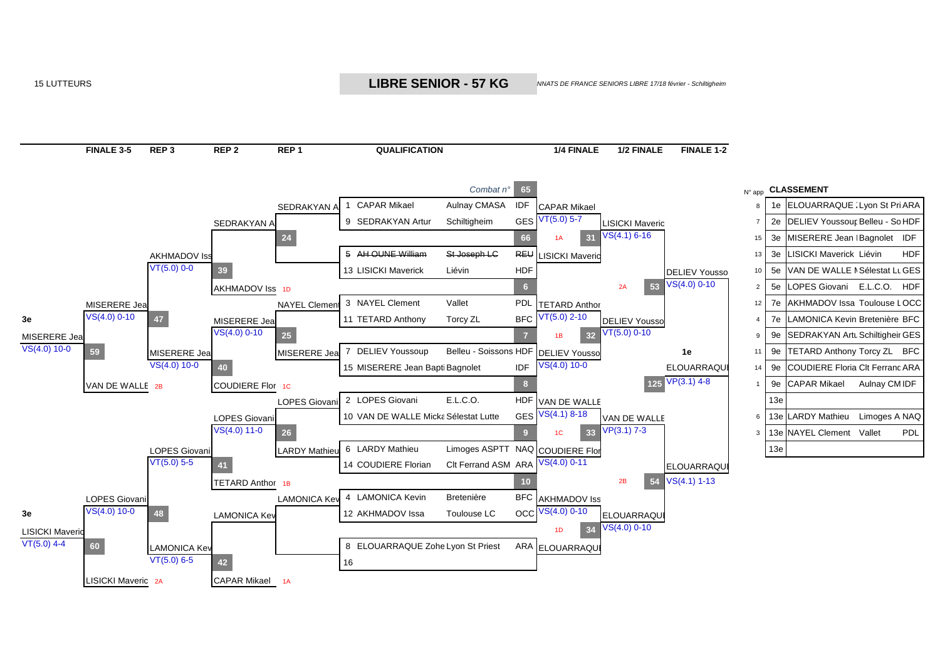15 LUTTEURS *CHAMPIONNATS DE FRANCE SENIORS LIBRE* **LIBRE SENIOR - 57 KG**



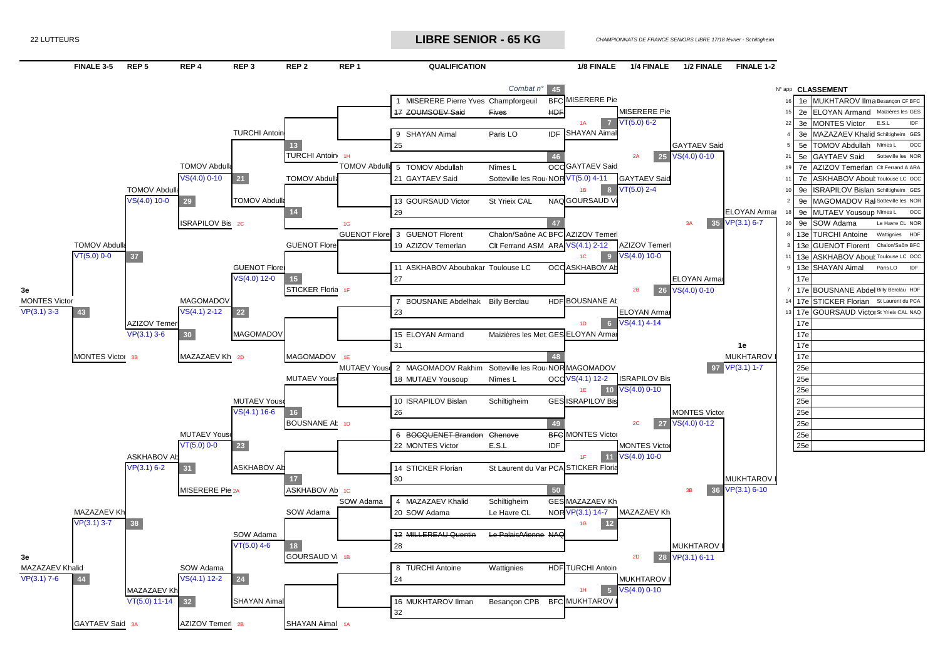22 LUTTEURS *CHAMPIONNATS DE FRANCE SENIORS LIBRE* **LIBRE SENIOR - 65 KG**

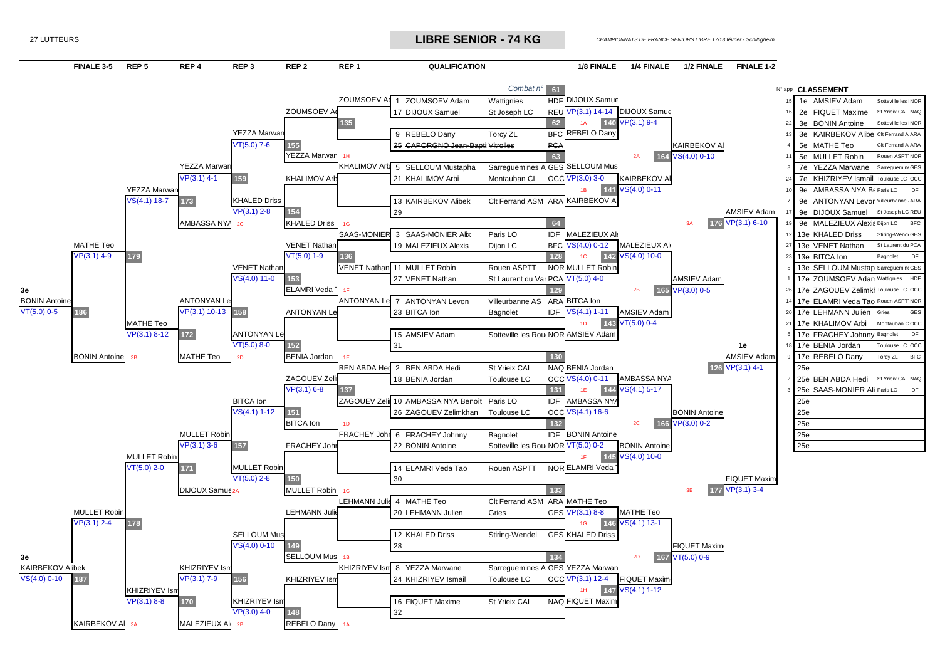27 LUTTEURS *CHAMPIONNATS DE FRANCE SENIORS LIBRE* **LIBRE SENIOR - 74 KG**



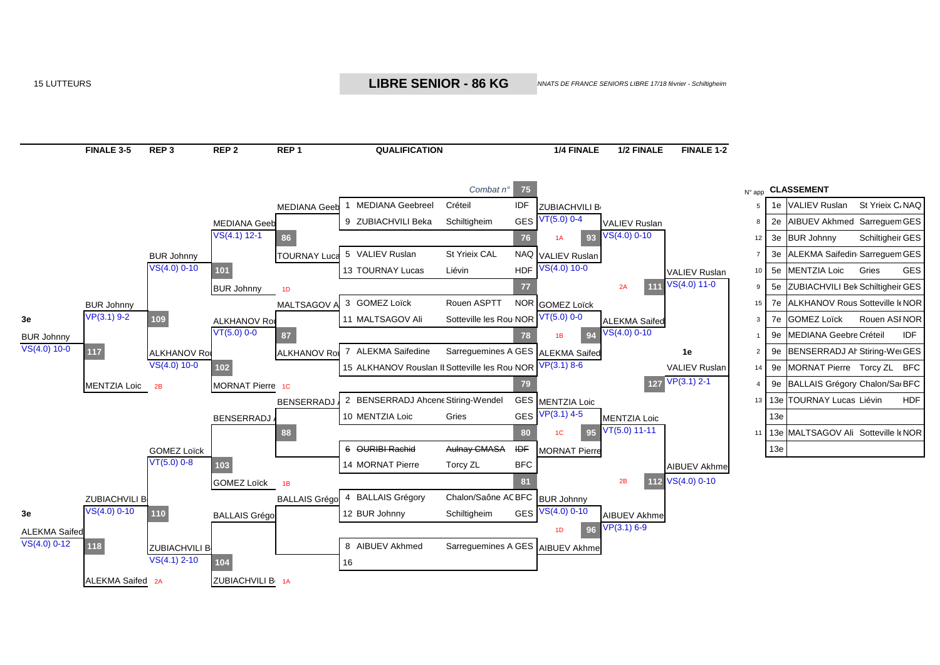15 LUTTEURS *CHAMPIONNATS DE FRANCE SENIORS LIBRE* **LIBRE SENIOR - 86 KG**